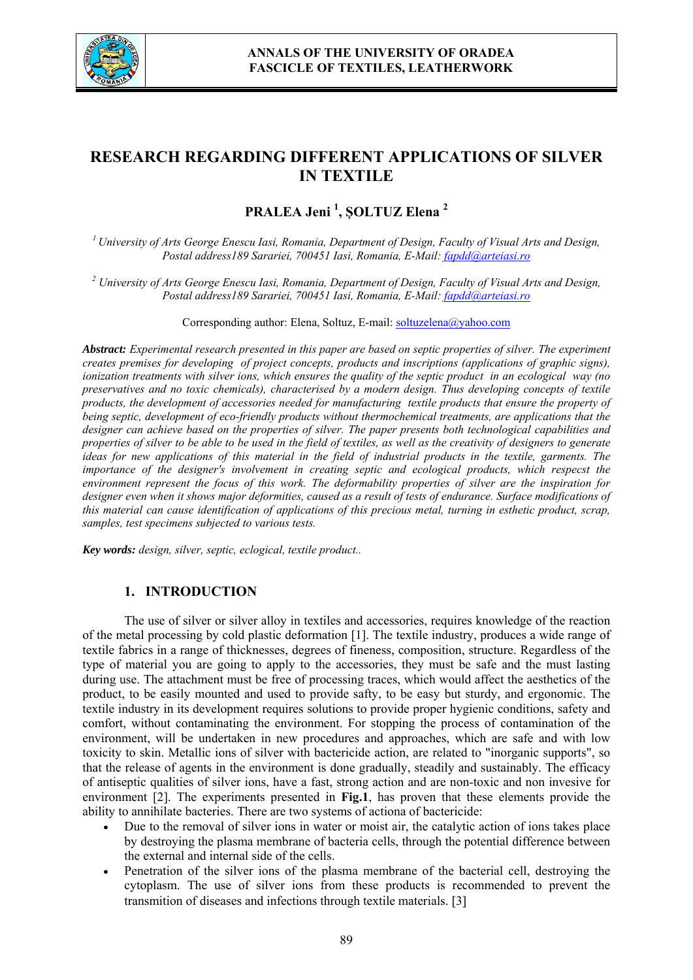

# **RESEARCH REGARDING DIFFERENT APPLICATIONS OF SILVER IN TEXTILE**

**PRALEA Jeni <sup>1</sup> , ȘOLTUZ Elena <sup>2</sup>**

*1 University of Arts George Enescu Iasi, Romania, Department of Design, Faculty of Visual Arts and Design, Postal address189 Sarariei, 700451 Iasi, Romania, E-Mail: fapdd@arteiasi.ro*

*2 University of Arts George Enescu Iasi, Romania, Department of Design, Faculty of Visual Arts and Design, Postal address189 Sarariei, 700451 Iasi, Romania, E-Mail: fapdd@arteiasi.ro*

Corresponding author: Elena, Soltuz, E-mail: soltuzelena@yahoo.com

*Abstract: Experimental research presented in this paper are based on septic properties of silver. The experiment creates premises for developing of project concepts, products and inscriptions (applications of graphic signs), ionization treatments with silver ions, which ensures the quality of the septic product in an ecological way (no preservatives and no toxic chemicals), characterised by a modern design. Thus developing concepts of textile products, the development of accessories needed for manufacturing textile products that ensure the property of being septic, development of eco-friendly products without thermochemical treatments, are applications that the designer can achieve based on the properties of silver. The paper presents both technological capabilities and properties of silver to be able to be used in the field of textiles, as well as the creativity of designers to generate ideas for new applications of this material in the field of industrial products in the textile, garments. The importance of the designer's involvement in creating septic and ecological products, which respecst the environment represent the focus of this work. The deformability properties of silver are the inspiration for designer even when it shows major deformities, caused as a result of tests of endurance. Surface modifications of this material can cause identification of applications of this precious metal, turning in esthetic product, scrap, samples, test specimens subjected to various tests.*

*Key words: design, silver, septic, eclogical, textile product..*

# **1. INTRODUCTION**

The use of silver or silver alloy in textiles and accessories, requires knowledge of the reaction of the metal processing by cold plastic deformation [1]. The textile industry, produces a wide range of textile fabrics in a range of thicknesses, degrees of fineness, composition, structure. Regardless of the type of material you are going to apply to the accessories, they must be safe and the must lasting during use. The attachment must be free of processing traces, which would affect the aesthetics of the product, to be easily mounted and used to provide safty, to be easy but sturdy, and ergonomic. The textile industry in its development requires solutions to provide proper hygienic conditions, safety and comfort, without contaminating the environment. For stopping the process of contamination of the environment, will be undertaken in new procedures and approaches, which are safe and with low toxicity to skin. Metallic ions of silver with bactericide action, are related to "inorganic supports", so that the release of agents in the environment is done gradually, steadily and sustainably. The efficacy of antiseptic qualities of silver ions, have a fast, strong action and are non-toxic and non invesive for environment [2]. The experiments presented in **Fig.1**, has proven that these elements provide the ability to annihilate bacteries. There are two systems of actiona of bactericide:

- Due to the removal of silver ions in water or moist air, the catalytic action of ions takes place by destroying the plasma membrane of bacteria cells, through the potential difference between the external and internal side of the cells.
- Penetration of the silver ions of the plasma membrane of the bacterial cell, destroying the cytoplasm. The use of silver ions from these products is recommended to prevent the transmition of diseases and infections through textile materials. [3]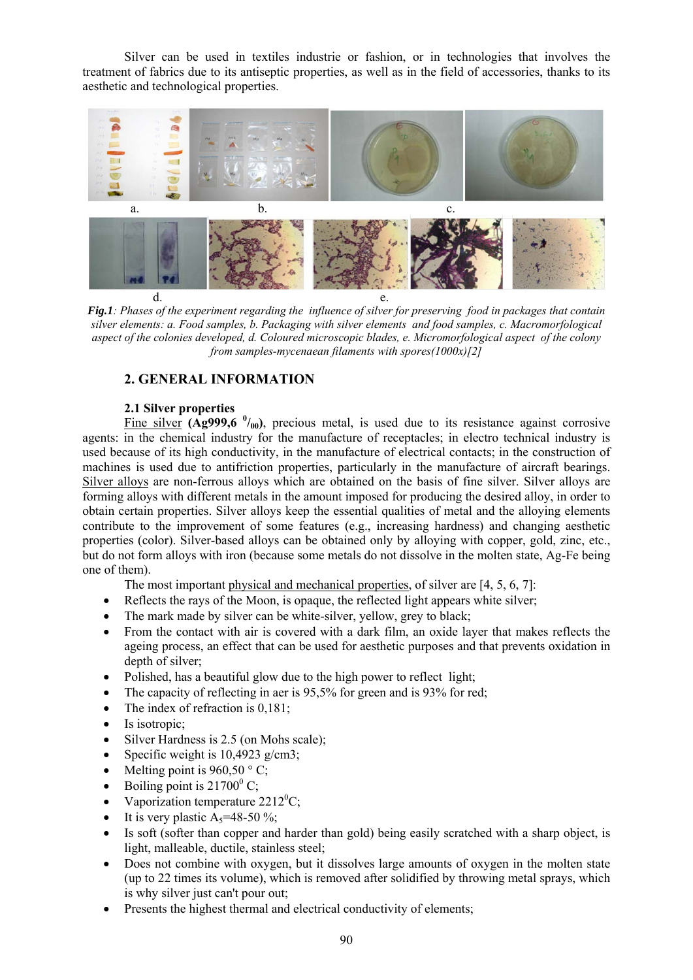Silver can be used in textiles industrie or fashion, or in technologies that involves the treatment of fabrics due to its antiseptic properties, as well as in the field of accessories, thanks to its aesthetic and technological properties.



*Fig.1: Phases of the experiment regarding the influence of silver for preserving food in packages that contain silver elements: a. Food samples, b. Packaging with silver elements and food samples, c. Macromorfological aspect of the colonies developed, d. Coloured microscopic blades, e. Micromorfological aspect of the colony from samples-mycenaean filaments with spores(1000x)[2]*

# **2. GENERAL INFORMATION**

#### **2.1 Silver properties**

Fine silver  $(Ag999,6\ ^{0}/_{00})$ , precious metal, is used due to its resistance against corrosive agents: in the chemical industry for the manufacture of receptacles; in electro technical industry is used because of its high conductivity, in the manufacture of electrical contacts; in the construction of machines is used due to antifriction properties, particularly in the manufacture of aircraft bearings. Silver alloys are non-ferrous alloys which are obtained on the basis of fine silver. Silver alloys are forming alloys with different metals in the amount imposed for producing the desired alloy, in order to obtain certain properties. Silver alloys keep the essential qualities of metal and the alloying elements contribute to the improvement of some features (e.g., increasing hardness) and changing aesthetic properties (color). Silver-based alloys can be obtained only by alloying with copper, gold, zinc, etc., but do not form alloys with iron (because some metals do not dissolve in the molten state, Ag-Fe being one of them).

The most important physical and mechanical properties, of silver are [4, 5, 6, 7]:

- Reflects the rays of the Moon, is opaque, the reflected light appears white silver;
- The mark made by silver can be white-silver, yellow, grey to black;
- From the contact with air is covered with a dark film, an oxide layer that makes reflects the ageing process, an effect that can be used for aesthetic purposes and that prevents oxidation in depth of silver;
- Polished, has a beautiful glow due to the high power to reflect light;
- The capacity of reflecting in aer is 95,5% for green and is 93% for red;
- The index of refraction is 0,181;
- Is isotropic;
- Silver Hardness is 2.5 (on Mohs scale);
- Specific weight is  $10,4923$  g/cm3;
- Melting point is  $960,50 \degree$  C;
- Boiling point is  $21700^{\circ}$  C;
- Vaporization temperature  $2212^0C$ ;
- It is very plastic  $A_5 = 48-50\%$ ;
- Is soft (softer than copper and harder than gold) being easily scratched with a sharp object, is light, malleable, ductile, stainless steel;
- Does not combine with oxygen, but it dissolves large amounts of oxygen in the molten state (up to 22 times its volume), which is removed after solidified by throwing metal sprays, which is why silver just can't pour out;
- Presents the highest thermal and electrical conductivity of elements;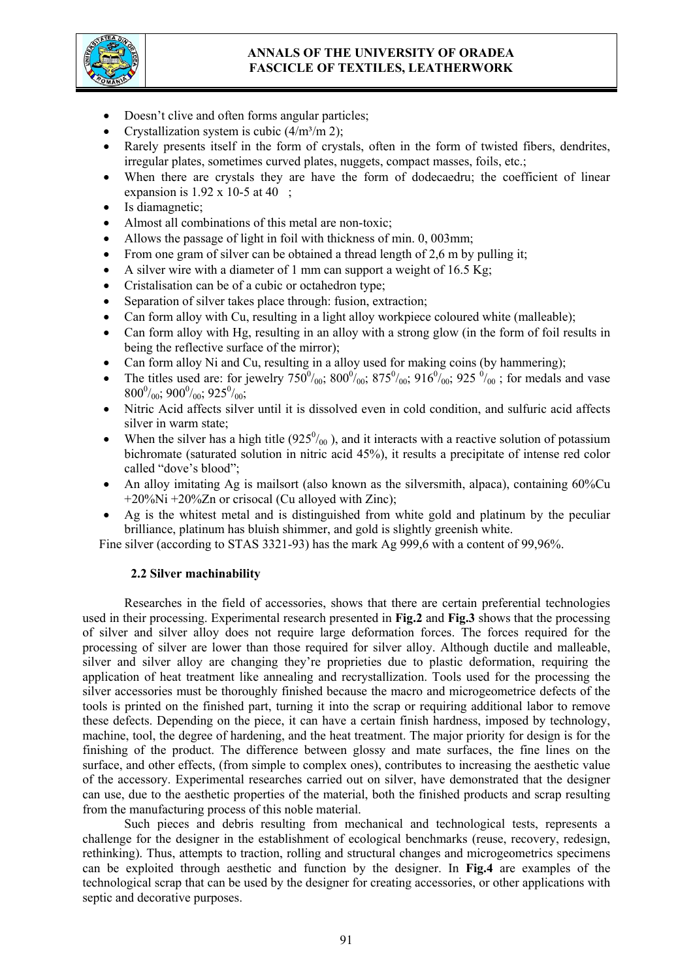# **ANNALS OF THE UNIVERSITY OF ORADEA FASCICLE OF TEXTILES, LEATHERWORK**



- Doesn't clive and often forms angular particles;
- Crystallization system is cubic  $(4/m<sup>3</sup>/m 2)$ ;
- Rarely presents itself in the form of crystals, often in the form of twisted fibers, dendrites, irregular plates, sometimes curved plates, nuggets, compact masses, foils, etc.;
- When there are crystals they are have the form of dodecaedru; the coefficient of linear expansion is  $1.92 \times 10-5$  at 40;
- Is diamagnetic;
- Almost all combinations of this metal are non-toxic;
- Allows the passage of light in foil with thickness of min. 0, 003mm;
- From one gram of silver can be obtained a thread length of 2,6 m by pulling it;
- A silver wire with a diameter of 1 mm can support a weight of  $16.5$  Kg;
- Cristalisation can be of a cubic or octahedron type;
- Separation of silver takes place through: fusion, extraction;
- Can form alloy with Cu, resulting in a light alloy workpiece coloured white (malleable);
- Can form alloy with Hg, resulting in an alloy with a strong glow (in the form of foil results in being the reflective surface of the mirror);
- Can form alloy Ni and Cu, resulting in a alloy used for making coins (by hammering);
- The titles used are: for jewelry  $750^0/_{00}$ ;  $800^0/_{00}$ ;  $875^0/_{00}$ ;  $916^0/_{00}$ ;  $925^0/_{00}$ ; for medals and vase  $800^0/_{00}$ ;  $900^0/_{00}$ ;  $925^0/_{00}$ ;
- Nitric Acid affects silver until it is dissolved even in cold condition, and sulfuric acid affects silver in warm state;
- When the silver has a high title  $(925<sup>0</sup>/_{00})$ , and it interacts with a reactive solution of potassium bichromate (saturated solution in nitric acid 45%), it results a precipitate of intense red color called "dove's blood";
- An alloy imitating Ag is mailsort (also known as the silversmith, alpaca), containing 60%Cu +20%Ni +20%Zn or crisocal (Cu alloyed with Zinc);
- Ag is the whitest metal and is distinguished from white gold and platinum by the peculiar brilliance, platinum has bluish shimmer, and gold is slightly greenish white.

Fine silver (according to STAS 3321-93) has the mark Ag 999,6 with a content of 99,96%.

# **2.2 Silver machinability**

Researches in the field of accessories, shows that there are certain preferential technologies used in their processing. Experimental research presented in **Fig.2** and **Fig.3** shows that the processing of silver and silver alloy does not require large deformation forces. The forces required for the processing of silver are lower than those required for silver alloy. Although ductile and malleable, silver and silver alloy are changing they're proprieties due to plastic deformation, requiring the application of heat treatment like annealing and recrystallization. Tools used for the processing the silver accessories must be thoroughly finished because the macro and microgeometrice defects of the tools is printed on the finished part, turning it into the scrap or requiring additional labor to remove these defects. Depending on the piece, it can have a certain finish hardness, imposed by technology, machine, tool, the degree of hardening, and the heat treatment. The major priority for design is for the finishing of the product. The difference between glossy and mate surfaces, the fine lines on the surface, and other effects, (from simple to complex ones), contributes to increasing the aesthetic value of the accessory. Experimental researches carried out on silver, have demonstrated that the designer can use, due to the aesthetic properties of the material, both the finished products and scrap resulting from the manufacturing process of this noble material.

Such pieces and debris resulting from mechanical and technological tests, represents a challenge for the designer in the establishment of ecological benchmarks (reuse, recovery, redesign, rethinking). Thus, attempts to traction, rolling and structural changes and microgeometrics specimens can be exploited through aesthetic and function by the designer. In **Fig.4** are examples of the technological scrap that can be used by the designer for creating accessories, or other applications with septic and decorative purposes.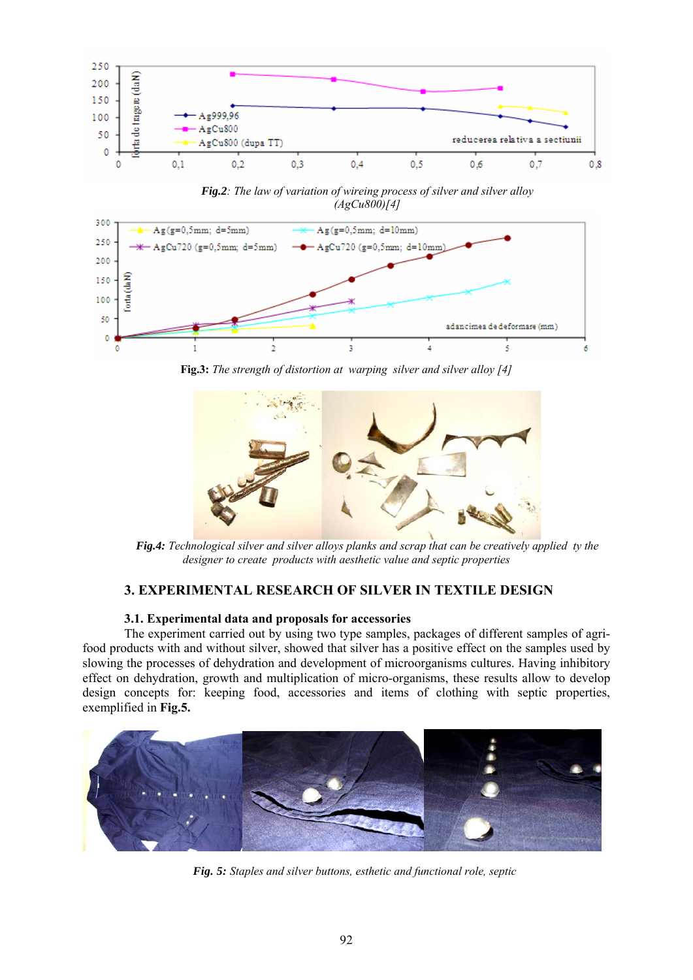

*Fig.2: The law of variation of wireing process of silver and silver alloy (AgCu800)[4]* 



**Fig.3:** *The strength of distortion at warping silver and silver alloy [4]* 



*Fig.4: Technological silver and silver alloys planks and scrap that can be creatively applied ty the designer to create products with aesthetic value and septic properties* 

# **3. EXPERIMENTAL RESEARCH OF SILVER IN TEXTILE DESIGN**

#### **3.1. Experimental data and proposals for accessories**

The experiment carried out by using two type samples, packages of different samples of agrifood products with and without silver, showed that silver has a positive effect on the samples used by slowing the processes of dehydration and development of microorganisms cultures. Having inhibitory effect on dehydration, growth and multiplication of micro-organisms, these results allow to develop design concepts for: keeping food, accessories and items of clothing with septic properties, exemplified in **Fig.5.**



*Fig. 5: Staples and silver buttons, esthetic and functional role, septic*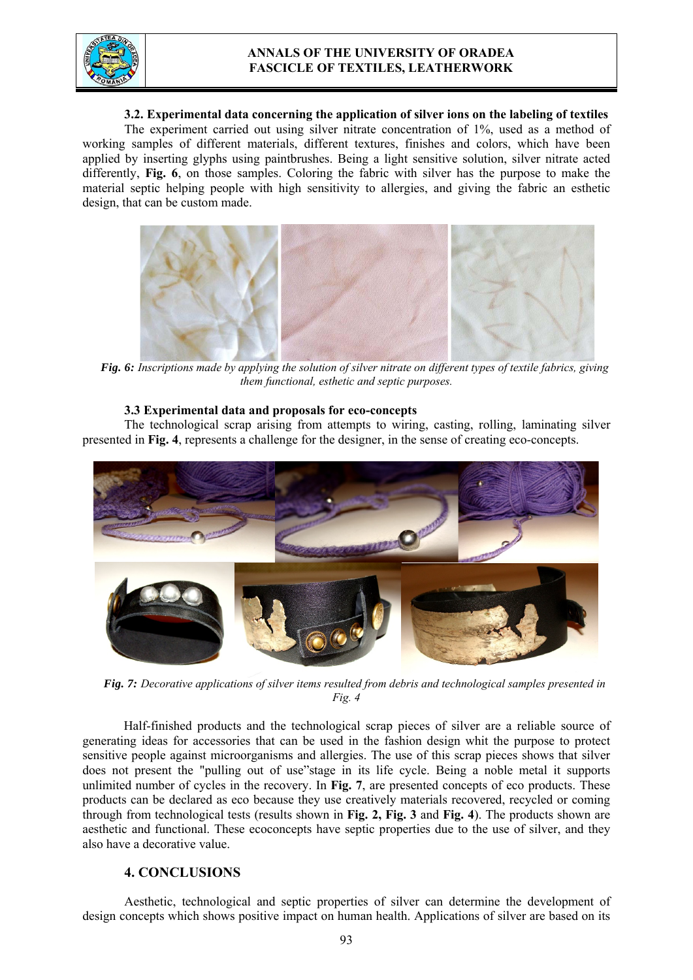

# **ANNALS OF THE UNIVERSITY OF ORADEA FASCICLE OF TEXTILES, LEATHERWORK**

#### **3.2. Experimental data concerning the application of silver ions on the labeling of textiles**

The experiment carried out using silver nitrate concentration of 1%, used as a method of working samples of different materials, different textures, finishes and colors, which have been applied by inserting glyphs using paintbrushes. Being a light sensitive solution, silver nitrate acted differently, **Fig. 6**, on those samples. Coloring the fabric with silver has the purpose to make the material septic helping people with high sensitivity to allergies, and giving the fabric an esthetic design, that can be custom made.



*Fig. 6: Inscriptions made by applying the solution of silver nitrate on different types of textile fabrics, giving them functional, esthetic and septic purposes.* 

#### **3.3 Experimental data and proposals for eco-concepts**

The technological scrap arising from attempts to wiring, casting, rolling, laminating silver presented in **Fig. 4**, represents a challenge for the designer, in the sense of creating eco-concepts.



*Fig. 7: Decorative applications of silver items resulted from debris and technological samples presented in Fig. 4* 

Half-finished products and the technological scrap pieces of silver are a reliable source of generating ideas for accessories that can be used in the fashion design whit the purpose to protect sensitive people against microorganisms and allergies. The use of this scrap pieces shows that silver does not present the "pulling out of use"stage in its life cycle. Being a noble metal it supports unlimited number of cycles in the recovery. In **Fig. 7**, are presented concepts of eco products. These products can be declared as eco because they use creatively materials recovered, recycled or coming through from technological tests (results shown in **Fig. 2, Fig. 3** and **Fig. 4**). The products shown are aesthetic and functional. These ecoconcepts have septic properties due to the use of silver, and they also have a decorative value.

# **4. CONCLUSIONS**

Aesthetic, technological and septic properties of silver can determine the development of design concepts which shows positive impact on human health. Applications of silver are based on its